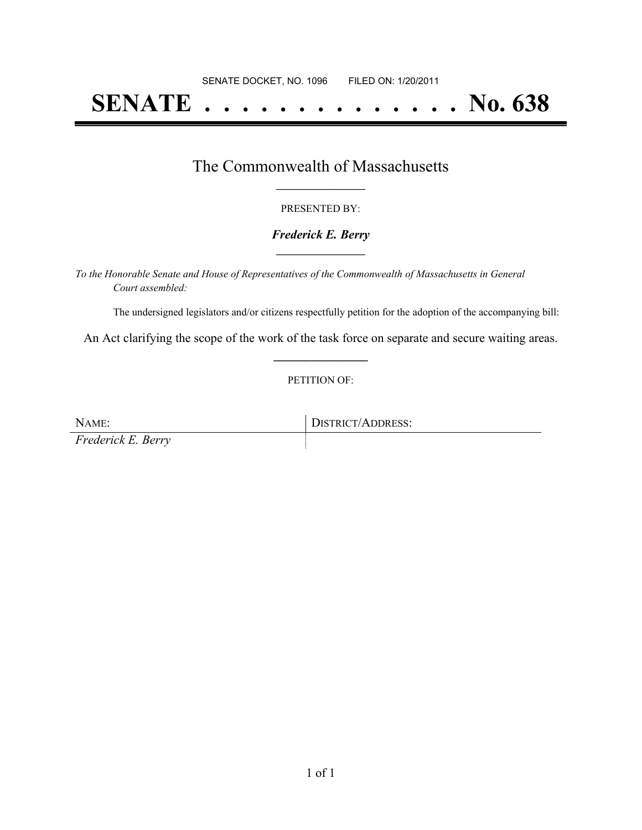# **SENATE . . . . . . . . . . . . . . No. 638**

### The Commonwealth of Massachusetts **\_\_\_\_\_\_\_\_\_\_\_\_\_\_\_\_\_**

#### PRESENTED BY:

#### *Frederick E. Berry* **\_\_\_\_\_\_\_\_\_\_\_\_\_\_\_\_\_**

*To the Honorable Senate and House of Representatives of the Commonwealth of Massachusetts in General Court assembled:*

The undersigned legislators and/or citizens respectfully petition for the adoption of the accompanying bill:

An Act clarifying the scope of the work of the task force on separate and secure waiting areas. **\_\_\_\_\_\_\_\_\_\_\_\_\_\_\_**

#### PETITION OF:

NAME: DISTRICT/ADDRESS: *Frederick E. Berry*